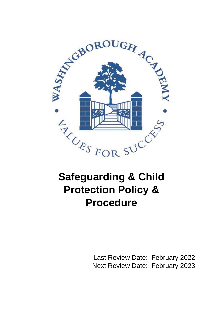

# **Safeguarding & Child Protection Policy & Procedure**

Last Review Date: February 2022 Next Review Date: February 2023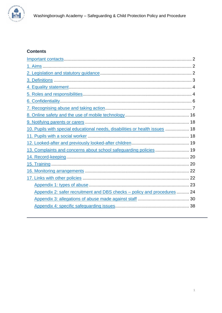

# **Contents**

<span id="page-1-0"></span>

| 10. Pupils with special educational needs, disabilities or health issues  18 |  |
|------------------------------------------------------------------------------|--|
|                                                                              |  |
|                                                                              |  |
| 13. Complaints and concerns about school safeguarding policies  19           |  |
|                                                                              |  |
|                                                                              |  |
|                                                                              |  |
|                                                                              |  |
|                                                                              |  |
| Appendix 2: safer recruitment and DBS checks - policy and procedures  24     |  |
|                                                                              |  |
|                                                                              |  |
|                                                                              |  |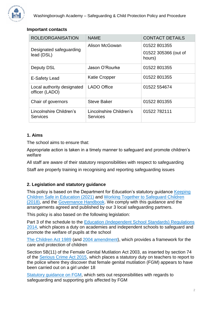

# **Important contacts**

| <b>ROLE/ORGANISATION</b>                     | <b>NAME</b>                                | <b>CONTACT DETAILS</b>                         |
|----------------------------------------------|--------------------------------------------|------------------------------------------------|
| Designated safeguarding<br>lead (DSL)        | Alison McGowan                             | 01522 801355<br>01522 305366 (out of<br>hours) |
| <b>Deputy DSL</b>                            | Jason O'Rourke                             | 01522 801355                                   |
| E-Safety Lead                                | <b>Katie Cropper</b>                       | 01522 801355                                   |
| Local authority designated<br>officer (LADO) | <b>LADO Office</b>                         | 01522 554674                                   |
| Chair of governors                           | <b>Steve Baker</b>                         | 01522 801355                                   |
| Lincolnshire Children's<br><b>Services</b>   | Lincolnshire Children's<br><b>Services</b> | 01522 782111                                   |

# <span id="page-2-0"></span>**1. Aims**

The school aims to ensure that:

Appropriate action is taken in a timely manner to safeguard and promote children's welfare

All staff are aware of their statutory responsibilities with respect to safeguarding

Staff are properly training in recognising and reporting safeguarding issues

# <span id="page-2-1"></span>**2. Legislation and statutory guidance**

This policy is based on the Department for Education's statutory quidance Keeping [Children Safe in Education \(2021\)](https://www.gov.uk/government/publications/keeping-children-safe-in-education--2) and [Working Together to Safeguard Children](https://www.gov.uk/government/publications/working-together-to-safeguard-children--2)  [\(2018\),](https://www.gov.uk/government/publications/working-together-to-safeguard-children--2) and the [Governance Handbook.](https://www.gov.uk/government/publications/governance-handbook) We comply with this guidance and the arrangements agreed and published by our 3 local safeguarding partners.

This policy is also based on the following legislation:

Part 3 of the schedule to the [Education \(Independent School Standards\) Regulations](http://www.legislation.gov.uk/uksi/2014/3283/schedule/part/3/made)  [2014,](http://www.legislation.gov.uk/uksi/2014/3283/schedule/part/3/made) which places a duty on academies and independent schools to safeguard and promote the welfare of pupils at the school

[The Children Act 1989](http://www.legislation.gov.uk/ukpga/1989/41) (and [2004 amendment\)](http://www.legislation.gov.uk/ukpga/2004/31/contents), which provides a framework for the care and protection of children

Section 5B(11) of the Female Genital Mutilation Act 2003, as inserted by section 74 of the [Serious Crime Act 2015,](http://www.legislation.gov.uk/ukpga/2015/9/part/5/crossheading/female-genital-mutilation) which places a statutory duty on teachers to report to the police where they discover that female genital mutilation (FGM) appears to have been carried out on a girl under 18

[Statutory guidance on FGM,](https://www.gov.uk/government/publications/multi-agency-statutory-guidance-on-female-genital-mutilation) which sets out responsibilities with regards to safeguarding and supporting girls affected by FGM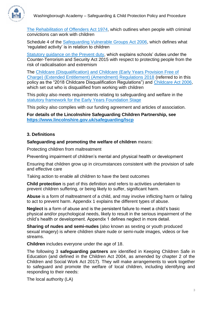

[The Rehabilitation of Offenders Act 1974,](http://www.legislation.gov.uk/ukpga/1974/53) which outlines when people with criminal convictions can work with children

Schedule 4 of the [Safeguarding Vulnerable Groups Act 2006,](http://www.legislation.gov.uk/ukpga/2006/47/schedule/4) which defines what 'regulated activity' is in relation to children

[Statutory guidance on the Prevent duty,](https://www.gov.uk/government/publications/prevent-duty-guidance) which explains schools' duties under the Counter-Terrorism and Security Act 2015 with respect to protecting people from the risk of radicalisation and extremism

The [Childcare \(Disqualification\) and Childcare \(Early Years Provision Free of](http://www.legislation.gov.uk/uksi/2018/794/contents/made)  [Charge\) \(Extended Entitlement\) \(Amendment\) Regulations 2018](http://www.legislation.gov.uk/uksi/2018/794/contents/made) (referred to in this policy as the "2018 Childcare Disqualification Regulations") and [Childcare Act 2006,](http://www.legislation.gov.uk/ukpga/2006/21/contents) which set out who is disqualified from working with children

This policy also meets requirements relating to safeguarding and welfare in the [statutory framework for the Early Years Foundation Stage](https://www.gov.uk/government/publications/early-years-foundation-stage-framework--2)

This policy also complies with our funding agreement and articles of association.

**For details of the Lincolnshire Safeguarding Children Partnership, see <https://www.lincolnshire.gov.uk/safeguarding/lscp>**

# <span id="page-3-0"></span>**3. Definitions**

**Safeguarding and promoting the welfare of children** means:

Protecting children from maltreatment

Preventing impairment of children's mental and physical health or development

Ensuring that children grow up in circumstances consistent with the provision of safe and effective care

Taking action to enable all children to have the best outcomes

**Child protection** is part of this definition and refers to activities undertaken to prevent children suffering, or being likely to suffer, significant harm.

**Abuse** is a form of maltreatment of a child, and may involve inflicting harm or failing to act to prevent harm. Appendix 1 explains the different types of abuse.

**Neglect** is a form of abuse and is the persistent failure to meet a child's basic physical and/or psychological needs, likely to result in the serious impairment of the child's health or development. Appendix 1 defines neglect in more detail.

**Sharing of nudes and semi-nudes** (also known as sexting or youth produced sexual imagery) is where children share nude or semi-nude images, videos or live streams.

**Children** includes everyone under the age of 18.

The following 3 **safeguarding partners** are identified in Keeping Children Safe in Education (and defined in the Children Act 2004, as amended by chapter 2 of the Children and Social Work Act 2017). They will make arrangements to work together to safeguard and promote the welfare of local children, including identifying and responding to their needs:

The local authority (LA)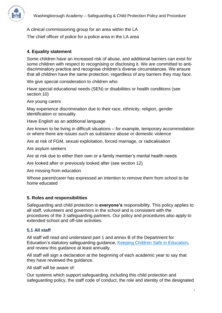A clinical commissioning group for an area within the LA

The chief officer of police for a police area in the LA area

# <span id="page-4-0"></span>**4. Equality statement**

Some children have an increased risk of abuse, and additional barriers can exist for some children with respect to recognising or disclosing it. We are committed to antidiscriminatory practice and recognise children's diverse circumstances. We ensure that all children have the same protection, regardless of any barriers they may face.

We give special consideration to children who:

Have special educational needs (SEN) or disabilities or health conditions (see section 10)

Are young carers

May experience discrimination due to their race, ethnicity, religion, gender identification or sexuality

Have English as an additional language

Are known to be living in difficult situations – for example, temporary accommodation or where there are issues such as substance abuse or domestic violence

Are at risk of FGM, sexual exploitation, forced marriage, or radicalisation

Are asylum seekers

Are at risk due to either their own or a family member's mental health needs

Are looked after or previously looked after (see section 12)

Are missing from education

Whose parent/carer has expressed an intention to remove them from school to be home educated

## <span id="page-4-1"></span>**5. Roles and responsibilities**

Safeguarding and child protection is **everyone's** responsibility. This policy applies to all staff, volunteers and governors in the school and is consistent with the procedures of the 3 safeguarding partners. Our policy and procedures also apply to extended school and off-site activities.

# **5.1 All staff**

All staff will read and understand part 1 and annex B of the Department for Education's statutory safeguarding guidance, [Keeping Children Safe in Education,](https://www.gov.uk/government/publications/keeping-children-safe-in-education--2) and review this guidance at least annually.

All staff will sign a declaration at the beginning of each academic year to say that they have reviewed the guidance.

All staff will be aware of:

Our systems which support safeguarding, including this child protection and safeguarding policy, the staff code of conduct, the role and identity of the designated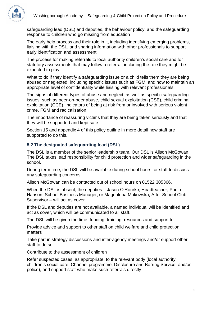

safeguarding lead (DSL) and deputies, the behaviour policy, and the safeguarding response to children who go missing from education

The early help process and their role in it, including identifying emerging problems, liaising with the DSL, and sharing information with other professionals to support early identification and assessment

The process for making referrals to local authority children's social care and for statutory assessments that may follow a referral, including the role they might be expected to play

What to do if they identify a safeguarding issue or a child tells them they are being abused or neglected, including specific issues such as FGM, and how to maintain an appropriate level of confidentiality while liaising with relevant professionals

The signs of different types of abuse and neglect, as well as specific safeguarding issues, such as peer-on-peer abuse, child sexual exploitation (CSE), child criminal exploitation (CCE), indicators of being at risk from or involved with serious violent crime, FGM and radicalisation

The importance of reassuring victims that they are being taken seriously and that they will be supported and kept safe

Section 15 and appendix 4 of this policy outline in more detail how staff are supported to do this.

# **5.2 The designated safeguarding lead (DSL)**

The DSL is a member of the senior leadership team. Our DSL is Alison McGowan. The DSL takes lead responsibility for child protection and wider safeguarding in the school.

During term time, the DSL will be available during school hours for staff to discuss any safeguarding concerns.

Alison McGowan can be contacted out of school hours on 01522 305366.

When the DSL is absent, the deputies – Jason O'Rourke, Headteacher, Paula Hanson, School Business Manager, or Magdalena Makowska, After School Club Supervisor – will act as cover.

If the DSL and deputies are not available, a named individual will be identified and act as cover, which will be communicated to all staff.

The DSL will be given the time, funding, training, resources and support to:

Provide advice and support to other staff on child welfare and child protection matters

Take part in strategy discussions and inter-agency meetings and/or support other staff to do so

Contribute to the assessment of children

Refer suspected cases, as appropriate, to the relevant body (local authority children's social care, Channel programme, Disclosure and Barring Service, and/or police), and support staff who make such referrals directly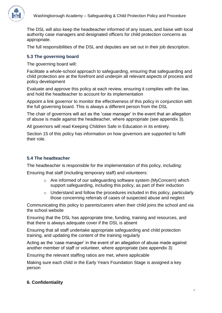

The DSL will also keep the headteacher informed of any issues, and liaise with local authority case managers and designated officers for child protection concerns as appropriate.

The full responsibilities of the DSL and deputies are set out in their job description.

# **5.3 The governing board**

The governing board will:

Facilitate a whole-school approach to safeguarding, ensuring that safeguarding and child protection are at the forefront and underpin all relevant aspects of process and policy development

Evaluate and approve this policy at each review, ensuring it complies with the law, and hold the headteacher to account for its implementation

Appoint a link governor to monitor the effectiveness of this policy in conjunction with the full governing board. This is always a different person from the DSL

The chair of governors will act as the 'case manager' in the event that an allegation of abuse is made against the headteacher, where appropriate (see appendix 3).

All governors will read Keeping Children Safe in Education in its entirety.

Section 15 of this policy has information on how governors are supported to fulfil their role.

# **5.4 The headteacher**

The headteacher is responsible for the implementation of this policy, including:

Ensuring that staff (including temporary staff) and volunteers:

- $\circ$  Are informed of our safeguarding software system (MyConcern) which support safeguarding, including this policy, as part of their induction
- o Understand and follow the procedures included in this policy, particularly those concerning referrals of cases of suspected abuse and neglect

Communicating this policy to parents/carers when their child joins the school and via the school website

Ensuring that the DSL has appropriate time, funding, training and resources, and that there is always adequate cover if the DSL is absent

Ensuring that all staff undertake appropriate safeguarding and child protection training, and updating the content of the training regularly

Acting as the 'case manager' in the event of an allegation of abuse made against another member of staff or volunteer, where appropriate (see appendix 3)

Ensuring the relevant staffing ratios are met, where applicable

Making sure each child in the Early Years Foundation Stage is assigned a key person

# <span id="page-6-0"></span>**6. Confidentiality**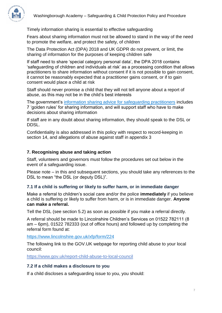

Timely information sharing is essential to effective safeguarding

Fears about sharing information must not be allowed to stand in the way of the need to promote the welfare, and protect the safety, of children

The Data Protection Act (DPA) 2018 and UK GDPR do not prevent, or limit, the sharing of information for the purposes of keeping children safe

If staff need to share 'special category personal data', the DPA 2018 contains 'safeguarding of children and individuals at risk' as a processing condition that allows practitioners to share information without consent if it is not possible to gain consent, it cannot be reasonably expected that a practitioner gains consent, or if to gain consent would place a child at risk

Staff should never promise a child that they will not tell anyone about a report of abuse, as this may not be in the child's best interests

The government's [information sharing advice for safeguarding practitioners](https://www.gov.uk/government/publications/safeguarding-practitioners-information-sharing-advice) includes 7 'golden rules' for sharing information, and will support staff who have to make decisions about sharing information

If staff are in any doubt about sharing information, they should speak to the DSL or DDSL.

Confidentiality is also addressed in this policy with respect to record-keeping in section 14, and allegations of abuse against staff in appendix 3

## <span id="page-7-0"></span>**7. Recognising abuse and taking action**

Staff, volunteers and governors must follow the procedures set out below in the event of a safeguarding issue.

Please note – in this and subsequent sections, you should take any references to the DSL to mean "the DSL (or deputy DSL)".

## **7.1 If a child is suffering or likely to suffer harm, or in immediate danger**

Make a referral to children's social care and/or the police **immediately** if you believe a child is suffering or likely to suffer from harm, or is in immediate danger. **Anyone can make a referral.**

Tell the DSL (see section 5.2) as soon as possible if you make a referral directly.

A referral should be made to Lincolnshire Children's Services on 01522 782111 (8 am – 6pm), 01522 782333 (out of office hours) and followed up by completing the referral form found at:

<https://www.lincolnshire.gov.uk/xfp/form/224>

The following link to the GOV.UK webpage for reporting child abuse to your local council:

<https://www.gov.uk/report-child-abuse-to-local-council>

#### **7.2 If a child makes a disclosure to you**

If a child discloses a safeguarding issue to you, you should: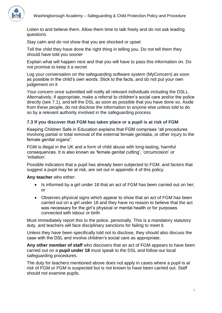

Listen to and believe them. Allow them time to talk freely and do not ask leading questions

Stay calm and do not show that you are shocked or upset

Tell the child they have done the right thing in telling you. Do not tell them they should have told you sooner

Explain what will happen next and that you will have to pass this information on. Do not promise to keep it a secret

Log your conversation on the safeguarding software system (MyConcern) as soon as possible in the child's own words. Stick to the facts, and do not put your own judgement on it

Your concern once submitted will notify all relevant individuals including the DSLL. Alternatively, if appropriate, make a referral to children's social care and/or the police directly (see 7.1), and tell the DSL as soon as possible that you have done so. Aside from these people, do not disclose the information to anyone else unless told to do so by a relevant authority involved in the safeguarding process

# **7.3 If you discover that FGM has taken place or a pupil is at risk of FGM**

Keeping Children Safe in Education explains that FGM comprises "all procedures involving partial or total removal of the external female genitalia, or other injury to the female genital organs".

FGM is illegal in the UK and a form of child abuse with long-lasting, harmful consequences. It is also known as 'female genital cutting', 'circumcision' or 'initiation'.

Possible indicators that a pupil has already been subjected to FGM, and factors that suggest a pupil may be at risk, are set out in appendix 4 of this policy.

**Any teacher** who either:

- Is informed by a girl under 18 that an act of FGM has been carried out on her; or
- Observes physical signs which appear to show that an act of FGM has been carried out on a girl under 18 and they have no reason to believe that the act was necessary for the girl's physical or mental health or for purposes connected with labour or birth

Must immediately report this to the police, personally. This is a mandatory statutory duty, and teachers will face disciplinary sanctions for failing to meet it.

Unless they have been specifically told not to disclose, they should also discuss the case with the DSL and involve children's social care as appropriate.

**Any other member of staff** who discovers that an act of FGM appears to have been carried out on a **pupil under 18** must speak to the DSL and follow our local safeguarding procedures.

The duty for teachers mentioned above does not apply in cases where a pupil is *at risk* of FGM or FGM is suspected but is not known to have been carried out. Staff should not examine pupils.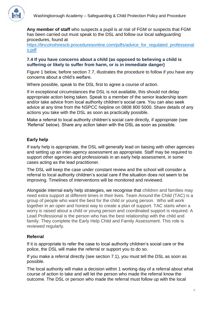

**Any member of staff** who suspects a pupil is *at risk* of FGM or suspects that FGM has been carried out must speak to the DSL and follow our local safeguarding procedures, found at

[https://lincolnshirescb.proceduresonline.com/pdfs/advice\\_for\\_regulated\\_professional](https://lincolnshirescb.proceduresonline.com/pdfs/advice_for_regulated_professionals.pdf) [s.pdf](https://lincolnshirescb.proceduresonline.com/pdfs/advice_for_regulated_professionals.pdf)

# **7.4 If you have concerns about a child (as opposed to believing a child is suffering or likely to suffer from harm, or is in immediate danger)**

Figure 1 below, before section 7.7, illustrates the procedure to follow if you have any concerns about a child's welfare.

Where possible, speak to the DSL first to agree a course of action.

If in exceptional circumstances the DSL is not available, this should not delay appropriate action being taken. Speak to a member of the senior leadership team and/or take advice from local authority children's social care. You can also seek advice at any time from the NSPCC helpline on 0808 800 5000. Share details of any actions you take with the DSL as soon as practically possible.

Make a referral to local authority children's social care directly, if appropriate (see 'Referral' below). Share any action taken with the DSL as soon as possible.

# **Early help**

If early help is appropriate, the DSL will generally lead on liaising with other agencies and setting up an inter-agency assessment as appropriate. Staff may be required to support other agencies and professionals in an early help assessment, in some cases acting as the lead practitioner.

The DSL will keep the case under constant review and the school will consider a referral to local authority children's social care if the situation does not seem to be improving. Timelines of interventions will be monitored and reviewed.

Alongside internal early help strategies, we recognise that children and families may need extra support at different times in their lives. Team Around the Child (TAC) is a group of people who want the best for the child or young person. Who will work together in an open and honest way to create a plan of support. TAC starts when a worry is raised about a child or young person and coordinated support is required. A Lead Professional is the person who has the best relationship with the child and family. They complete the Early Help Child and Family Assessment. This role is reviewed regularly.

# **Referral**

If it is appropriate to refer the case to local authority children's social care or the police, the DSL will make the referral or support you to do so.

If you make a referral directly (see section 7.1), you must tell the DSL as soon as possible.

The local authority will make a decision within 1 working day of a referral about what course of action to take and will let the person who made the referral know the outcome. The DSL or person who made the referral must follow up with the local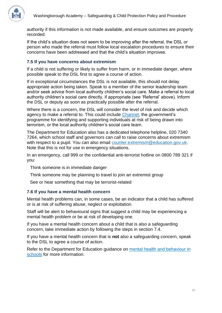

authority if this information is not made available, and ensure outcomes are properly recorded.

If the child's situation does not seem to be improving after the referral, the DSL or person who made the referral must follow local escalation procedures to ensure their concerns have been addressed and that the child's situation improves.

# **7.5 If you have concerns about extremism**

If a child is not suffering or likely to suffer from harm, or in immediate danger, where possible speak to the DSL first to agree a course of action.

If in exceptional circumstances the DSL is not available, this should not delay appropriate action being taken. Speak to a member of the senior leadership team and/or seek advice from local authority children's social care. Make a referral to local authority children's social care directly, if appropriate (see 'Referral' above). Inform the DSL or deputy as soon as practically possible after the referral.

Where there is a concern, the DSL will consider the level of risk and decide which agency to make a referral to. This could include [Channel,](https://www.gov.uk/government/publications/channel-guidance) the government's programme for identifying and supporting individuals at risk of being drawn into terrorism, or the local authority children's social care team.

The Department for Education also has a dedicated telephone helpline, 020 7340 7264, which school staff and governors can call to raise concerns about extremism with respect to a pupil. You can also email [counter.extremism@education.gov.uk.](mailto:counter.extremism@education.gov.uk) Note that this is not for use in emergency situations.

In an emergency, call 999 or the confidential anti-terrorist hotline on 0800 789 321 if you:

Think someone is in immediate danger

Think someone may be planning to travel to join an extremist group

See or hear something that may be terrorist-related

# **7.6 If you have a mental health concern**

Mental health problems can, in some cases, be an indicator that a child has suffered or is at risk of suffering abuse, neglect or exploitation.

Staff will be alert to behavioural signs that suggest a child may be experiencing a mental health problem or be at risk of developing one.

If you have a mental health concern about a child that is also a safeguarding concern, take immediate action by following the steps in section 7.4.

If you have a mental health concern that is **not** also a safeguarding concern, speak to the DSL to agree a course of action.

Refer to the Department for Education guidance on [mental health and behaviour in](https://www.gov.uk/government/publications/mental-health-and-behaviour-in-schools--2)  [schools](https://www.gov.uk/government/publications/mental-health-and-behaviour-in-schools--2) for more information.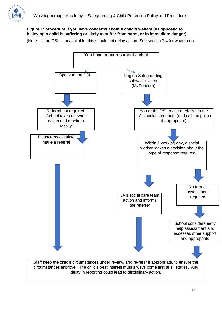

## **Figure 1: procedure if you have concerns about a child's welfare (as opposed to believing a child is suffering or likely to suffer from harm, or in immediate danger)**

(Note – if the DSL is unavailable, this should not delay action. See section 7.4 for what to do.

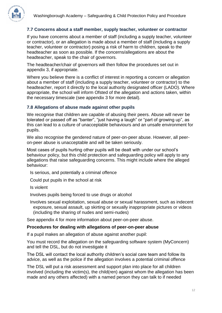

# **7.7 Concerns about a staff member, supply teacher, volunteer or contractor**

If you have concerns about a member of staff (including a supply teacher, volunteer or contractor), or an allegation is made about a member of staff (including a supply teacher, volunteer or contractor) posing a risk of harm to children, speak to the headteacher as soon as possible. If the concerns/allegations are about the headteacher, speak to the chair of governors.

The headteacher/chair of governors will then follow the procedures set out in appendix 3, if appropriate.

Where you believe there is a conflict of interest in reporting a concern or allegation about a member of staff (including a supply teacher, volunteer or contractor) to the headteacher, report it directly to the local authority designated officer (LADO). Where appropriate, the school will inform Ofsted of the allegation and actions taken, within the necessary timescale (see appendix 3 for more detail).

# **7.8 Allegations of abuse made against other pupils**

We recognise that children are capable of abusing their peers. Abuse will never be tolerated or passed off as "banter", "just having a laugh" or "part of growing up", as this can lead to a culture of unacceptable behaviours and an unsafe environment for pupils.

We also recognise the gendered nature of peer-on-peer abuse. However, all peeron-peer abuse is unacceptable and will be taken seriously.

Most cases of pupils hurting other pupils will be dealt with under our school's behaviour policy, but this child protection and safeguarding policy will apply to any allegations that raise safeguarding concerns. This might include where the alleged behaviour:

Is serious, and potentially a criminal offence

Could put pupils in the school at risk

Is violent

Involves pupils being forced to use drugs or alcohol

Involves sexual exploitation, sexual abuse or sexual harassment, such as indecent exposure, sexual assault, up skirting or sexually inappropriate pictures or videos (including the sharing of nudes and semi-nudes)

See appendix 4 for more information about peer-on-peer abuse.

#### **Procedures for dealing with allegations of peer-on-peer abuse**

If a pupil makes an allegation of abuse against another pupil:

You must record the allegation on the safeguarding software system (MyConcern) and tell the DSL, but do not investigate it

The DSL will contact the local authority children's social care team and follow its advice, as well as the police if the allegation involves a potential criminal offence

The DSL will put a risk assessment and support plan into place for all children involved (including the victim(s), the child(ren) against whom the allegation has been made and any others affected) with a named person they can talk to if needed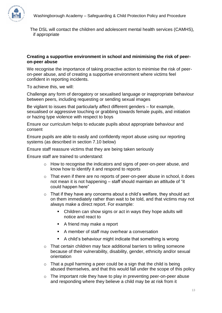

The DSL will contact the children and adolescent mental health services (CAMHS), if appropriate

## **Creating a supportive environment in school and minimising the risk of peeron-peer abuse**

We recognise the importance of taking proactive action to minimise the risk of peeron-peer abuse, and of creating a supportive environment where victims feel confident in reporting incidents.

To achieve this, we will:

Challenge any form of derogatory or sexualised language or inappropriate behaviour between peers, including requesting or sending sexual images

Be vigilant to issues that particularly affect different genders – for example, sexualised or aggressive touching or grabbing towards female pupils, and initiation or hazing type violence with respect to boys

Ensure our curriculum helps to educate pupils about appropriate behaviour and consent

Ensure pupils are able to easily and confidently report abuse using our reporting systems (as described in section 7.10 below)

Ensure staff reassure victims that they are being taken seriously

Ensure staff are trained to understand:

- o How to recognise the indicators and signs of peer-on-peer abuse, and know how to identify it and respond to reports
- o That even if there are no reports of peer-on-peer abuse in school, it does not mean it is not happening – staff should maintain an attitude of "it could happen here"
- $\circ$  That if they have any concerns about a child's welfare, they should act on them immediately rather than wait to be told, and that victims may not always make a direct report. For example:
	- Children can show signs or act in ways they hope adults will notice and react to
	- A friend may make a report
	- A member of staff may overhear a conversation
	- A child's behaviour might indicate that something is wrong
- o That certain children may face additional barriers to telling someone because of their vulnerability, disability, gender, ethnicity and/or sexual orientation
- $\circ$  That a pupil harming a peer could be a sign that the child is being abused themselves, and that this would fall under the scope of this policy
- $\circ$  The important role they have to play in preventing peer-on-peer abuse and responding where they believe a child may be at risk from it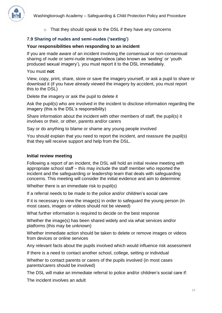

o That they should speak to the DSL if they have any concerns

# **7.9 Sharing of nudes and semi-nudes ('sexting')**

# **Your responsibilities when responding to an incident**

If you are made aware of an incident involving the consensual or non-consensual sharing of nude or semi-nude images/videos (also known as 'sexting' or 'youth produced sexual imagery'), you must report it to the DSL immediately.

You must **not**:

View, copy, print, share, store or save the imagery yourself, or ask a pupil to share or download it (if you have already viewed the imagery by accident, you must report this to the DSL)

Delete the imagery or ask the pupil to delete it

Ask the pupil(s) who are involved in the incident to disclose information regarding the imagery (this is the DSL's responsibility)

Share information about the incident with other members of staff, the pupil(s) it involves or their, or other, parents and/or carers

Say or do anything to blame or shame any young people involved

You should explain that you need to report the incident, and reassure the pupil(s) that they will receive support and help from the DSL.

# **Initial review meeting**

Following a report of an incident, the DSL will hold an initial review meeting with appropriate school staff – this may include the staff member who reported the incident and the safeguarding or leadership team that deals with safeguarding concerns. This meeting will consider the initial evidence and aim to determine:

Whether there is an immediate risk to pupil(s)

If a referral needs to be made to the police and/or children's social care

If it is necessary to view the image(s) in order to safeguard the young person (in most cases, images or videos should not be viewed)

What further information is required to decide on the best response

Whether the image(s) has been shared widely and via what services and/or platforms (this may be unknown)

Whether immediate action should be taken to delete or remove images or videos from devices or online services

Any relevant facts about the pupils involved which would influence risk assessment

If there is a need to contact another school, college, setting or individual

Whether to contact parents or carers of the pupils involved (in most cases parents/carers should be involved)

The DSL will make an immediate referral to police and/or children's social care if:

The incident involves an adult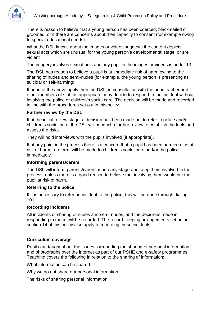

There is reason to believe that a young person has been coerced, blackmailed or groomed, or if there are concerns about their capacity to consent (for example owing to special educational needs)

What the DSL knows about the images or videos suggests the content depicts sexual acts which are unusual for the young person's developmental stage, or are violent

The imagery involves sexual acts and any pupil in the images or videos is under 13

The DSL has reason to believe a pupil is at immediate risk of harm owing to the sharing of nudes and semi-nudes (for example, the young person is presenting as suicidal or self-harming)

If none of the above apply then the DSL, in consultation with the headteacher and other members of staff as appropriate, may decide to respond to the incident without involving the police or children's social care. The decision will be made and recorded in line with the procedures set out in this policy.

## **Further review by the DSL**

If at the initial review stage, a decision has been made not to refer to police and/or children's social care, the DSL will conduct a further review to establish the facts and assess the risks.

They will hold interviews with the pupils involved (if appropriate).

If at any point in the process there is a concern that a pupil has been harmed or is at risk of harm, a referral will be made to children's social care and/or the police immediately.

#### **Informing parents/carers**

The DSL will inform parents/carers at an early stage and keep them involved in the process, unless there is a good reason to believe that involving them would put the pupil at risk of harm.

#### **Referring to the police**

If it is necessary to refer an incident to the police, this will be done through dialing 101.

#### **Recording incidents**

All incidents of sharing of nudes and semi-nudes, and the decisions made in responding to them, will be recorded. The record-keeping arrangements set out in section 14 of this policy also apply to recording these incidents.

## **Curriculum coverage**

Pupils are taught about the issues surrounding the sharing of personal information and photographs over the internet as part of our PSHE and e-safety programmes. Teaching covers the following in relation to the sharing of information:

What information can be shared

Why we do not share our personal information

The risks of sharing personal information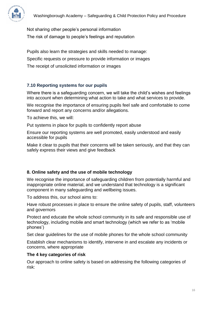

Not sharing other people's personal information The risk of damage to people's feelings and reputation

Pupils also learn the strategies and skills needed to manage: Specific requests or pressure to provide information or images The receipt of unsolicited information or images

# **7.10 Reporting systems for our pupils**

Where there is a safeguarding concern, we will take the child's wishes and feelings into account when determining what action to take and what services to provide.

We recognise the importance of ensuring pupils feel safe and comfortable to come forward and report any concerns and/or allegations.

To achieve this, we will:

Put systems in place for pupils to confidently report abuse

Ensure our reporting systems are well promoted, easily understood and easily accessible for pupils

Make it clear to pupils that their concerns will be taken seriously, and that they can safely express their views and give feedback

# <span id="page-16-0"></span>**8. Online safety and the use of mobile technology**

We recognise the importance of safeguarding children from potentially harmful and inappropriate online material, and we understand that technology is a significant component in many safeguarding and wellbeing issues.

To address this, our school aims to:

Have robust processes in place to ensure the online safety of pupils, staff, volunteers and governors

Protect and educate the whole school community in its safe and responsible use of technology, including mobile and smart technology (which we refer to as 'mobile phones')

Set clear guidelines for the use of mobile phones for the whole school community

Establish clear mechanisms to identify, intervene in and escalate any incidents or concerns, where appropriate

# **The 4 key categories of risk**

Our approach to online safety is based on addressing the following categories of risk: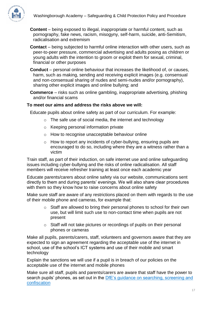

**Content** – being exposed to illegal, inappropriate or harmful content, such as pornography, fake news, racism, misogyny, self-harm, suicide, anti-Semitism, radicalisation and extremism

**Contact** – being subjected to harmful online interaction with other users, such as peer-to-peer pressure, commercial advertising and adults posing as children or young adults with the intention to groom or exploit them for sexual, criminal, financial or other purposes

**Conduct** – personal online behaviour that increases the likelihood of, or causes, harm, such as making, sending and receiving explicit images (e.g. consensual and non-consensual sharing of nudes and semi-nudes and/or pornography), sharing other explicit images and online bullying; and

**Commerce** – risks such as online gambling, inappropriate advertising, phishing and/or financial scams

# **To meet our aims and address the risks above we will:**

Educate pupils about online safety as part of our curriculum. For example:

- o The safe use of social media, the internet and technology
- o Keeping personal information private
- o How to recognise unacceptable behaviour online
- o How to report any incidents of cyber-bullying, ensuring pupils are encouraged to do so, including where they are a witness rather than a victim

Train staff, as part of their induction, on safe internet use and online safeguarding issues including cyber-bullying and the risks of online radicalisation. All staff members will receive refresher training at least once each academic year

Educate parents/carers about online safety via our website, communications sent directly to them and during parents' evenings. We will also share clear procedures with them so they know how to raise concerns about online safety

Make sure staff are aware of any restrictions placed on them with regards to the use of their mobile phone and cameras, for example that:

- o Staff are allowed to bring their personal phones to school for their own use, but will limit such use to non-contact time when pupils are not present
- o Staff will not take pictures or recordings of pupils on their personal phones or cameras

Make all pupils, parents/carers, staff, volunteers and governors aware that they are expected to sign an agreement regarding the acceptable use of the internet in school, use of the school's ICT systems and use of their mobile and smart technology

Explain the sanctions we will use if a pupil is in breach of our policies on the acceptable use of the internet and mobile phones

Make sure all staff, pupils and parents/carers are aware that staff have the power to search pupils' phones, as set out in the [DfE's guidance on searching, screening and](https://www.gov.uk/government/publications/searching-screening-and-confiscation)  [confiscation](https://www.gov.uk/government/publications/searching-screening-and-confiscation)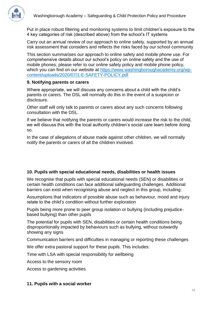

Put in place robust filtering and monitoring systems to limit children's exposure to the 4 key categories of risk (described above) from the school's IT systems

Carry out an annual review of our approach to online safety, supported by an annual risk assessment that considers and reflects the risks faced by our school community

This section summarises our approach to online safety and mobile phone use. For comprehensive details about our school's policy on online safety and the use of mobile phones, please refer to our online safety policy and mobile phone policy, which you can find on our website at [https://www.washingboroughacademy.org/wp](https://www.washingboroughacademy.org/wp-content/uploads/2020/07/1-E-SAFETY-POLICY.pdf)[content/uploads/2020/07/1-E-SAFETY-POLICY.pdf](https://www.washingboroughacademy.org/wp-content/uploads/2020/07/1-E-SAFETY-POLICY.pdf)

# <span id="page-18-0"></span>**9. Notifying parents or carers**

Where appropriate, we will discuss any concerns about a child with the child's parents or carers. The DSL will normally do this in the event of a suspicion or disclosure.

Other staff will only talk to parents or carers about any such concerns following consultation with the DSL.

If we believe that notifying the parents or carers would increase the risk to the child, we will discuss this with the local authority children's social care team before doing so.

In the case of allegations of abuse made against other children, we will normally notify the parents or carers of all the children involved.

# <span id="page-18-1"></span>**10. Pupils with special educational needs, disabilities or health issues**

We recognise that pupils with special educational needs (SEN) or disabilities or certain health conditions can face additional safeguarding challenges. Additional barriers can exist when recognising abuse and neglect in this group, including:

Assumptions that indicators of possible abuse such as behaviour, mood and injury relate to the child's condition without further exploration

Pupils being more prone to peer group isolation or bullying (including prejudicebased bullying) than other pupils

The potential for pupils with SEN, disabilities or certain health conditions being disproportionally impacted by behaviours such as bullying, without outwardly showing any signs

Communication barriers and difficulties in managing or reporting these challenges

We offer extra pastoral support for these pupils. This includes:

Time with LSA with special responsibility for wellbeing

Access to the sensory room

Access to gardening activities

## <span id="page-18-2"></span>**11. Pupils with a social worker**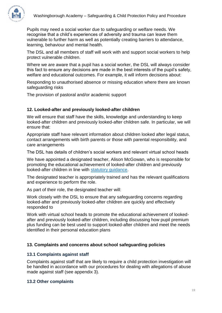

Pupils may need a social worker due to safeguarding or welfare needs. We recognise that a child's experiences of adversity and trauma can leave them vulnerable to further harm as well as potentially creating barriers to attendance, learning, behaviour and mental health.

The DSL and all members of staff will work with and support social workers to help protect vulnerable children.

Where we are aware that a pupil has a social worker, the DSL will always consider this fact to ensure any decisions are made in the best interests of the pupil's safety, welfare and educational outcomes. For example, it will inform decisions about:

Responding to unauthorised absence or missing education where there are known safeguarding risks

The provision of pastoral and/or academic support

# <span id="page-19-0"></span>**12. Looked-after and previously looked-after children**

We will ensure that staff have the skills, knowledge and understanding to keep looked-after children and previously looked-after children safe. In particular, we will ensure that:

Appropriate staff have relevant information about children looked after legal status, contact arrangements with birth parents or those with parental responsibility, and care arrangements

The DSL has details of children's social workers and relevant virtual school heads

We have appointed a designated teacher, Alison McGowan, who is responsible for promoting the educational achievement of looked-after children and previously looked-after children in line with [statutory guidance.](https://www.gov.uk/government/publications/designated-teacher-for-looked-after-children)

The designated teacher is appropriately trained and has the relevant qualifications and experience to perform the role.

As part of their role, the designated teacher will:

Work closely with the DSL to ensure that any safeguarding concerns regarding looked-after and previously looked-after children are quickly and effectively responded to

Work with virtual school heads to promote the educational achievement of lookedafter and previously looked-after children, including discussing how pupil premium plus funding can be best used to support looked-after children and meet the needs identified in their personal education plans

# <span id="page-19-1"></span>**13. Complaints and concerns about school safeguarding policies**

## **13.1 Complaints against staff**

Complaints against staff that are likely to require a child protection investigation will be handled in accordance with our procedures for dealing with allegations of abuse made against staff (see appendix 3).

## **13.2 Other complaints**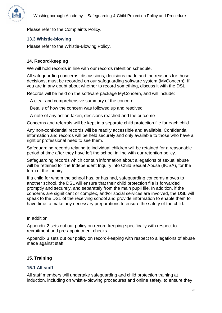

Please refer to the Complaints Policy.

# **13.3 Whistle-blowing**

Please refer to the Whistle-Blowing Policy.

# <span id="page-20-0"></span>**14. Record-keeping**

We will hold records in line with our records retention schedule.

All safeguarding concerns, discussions, decisions made and the reasons for those decisions, must be recorded on our safeguarding software system (MyConcern). If you are in any doubt about whether to record something, discuss it with the DSL.

Records will be held on the software package MyConcern, and will include:

A clear and comprehensive summary of the concern

Details of how the concern was followed up and resolved

A note of any action taken, decisions reached and the outcome

Concerns and referrals will be kept in a separate child protection file for each child.

Any non-confidential records will be readily accessible and available. Confidential information and records will be held securely and only available to those who have a right or professional need to see them.

Safeguarding records relating to individual children will be retained for a reasonable period of time after they have left the school in line with our retention policy.

Safeguarding records which contain information about allegations of sexual abuse will be retained for the Independent Inquiry into Child Sexual Abuse (IICSA), for the term of the inquiry.

If a child for whom the school has, or has had, safeguarding concerns moves to another school, the DSL will ensure that their child protection file is forwarded promptly and securely, and separately from the main pupil file. In addition, if the concerns are significant or complex, and/or social services are involved, the DSL will speak to the DSL of the receiving school and provide information to enable them to have time to make any necessary preparations to ensure the safety of the child.

In addition:

Appendix 2 sets out our policy on record-keeping specifically with respect to recruitment and pre-appointment checks

Appendix 3 sets out our policy on record-keeping with respect to allegations of abuse made against staff

# <span id="page-20-1"></span>**15. Training**

# **15.1 All staff**

All staff members will undertake safeguarding and child protection training at induction, including on whistle-blowing procedures and online safety, to ensure they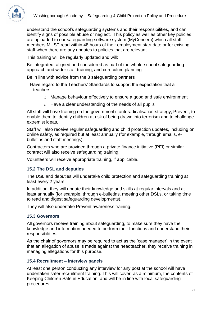

understand the school's safeguarding systems and their responsibilities, and can identify signs of possible abuse or neglect. This policy as well as other key policies are uploaded to our safeguarding software system (MyConcern) which all staff members MUST read within 48 hours of their employment start date or for existing staff when there are any updates to policies that are relevant.

This training will be regularly updated and will:

Be integrated, aligned and considered as part of the whole-school safeguarding approach and wider staff training, and curriculum planning

Be in line with advice from the 3 safeguarding partners

- Have regard to the Teachers' Standards to support the expectation that all teachers:
	- o Manage behaviour effectively to ensure a good and safe environment
	- o Have a clear understanding of the needs of all pupils

All staff will have training on the government's anti-radicalisation strategy, Prevent, to enable them to identify children at risk of being drawn into terrorism and to challenge extremist ideas.

Staff will also receive regular safeguarding and child protection updates, including on online safety, as required but at least annually (for example, through emails, ebulletins and staff meetings).

Contractors who are provided through a private finance initiative (PFI) or similar contract will also receive safeguarding training.

Volunteers will receive appropriate training, if applicable.

## **15.2 The DSL and deputies**

The DSL and deputies will undertake child protection and safeguarding training at least every 2 years.

In addition, they will update their knowledge and skills at regular intervals and at least annually (for example, through e-bulletins, meeting other DSLs, or taking time to read and digest safeguarding developments).

They will also undertake Prevent awareness training.

## **15.3 Governors**

All governors receive training about safeguarding, to make sure they have the knowledge and information needed to perform their functions and understand their responsibilities.

As the chair of governors may be required to act as the 'case manager' in the event that an allegation of abuse is made against the headteacher, they receive training in managing allegations for this purpose.

## **15.4 Recruitment – interview panels**

At least one person conducting any interview for any post at the school will have undertaken safer recruitment training. This will cover, as a minimum, the contents of Keeping Children Safe in Education, and will be in line with local safeguarding procedures.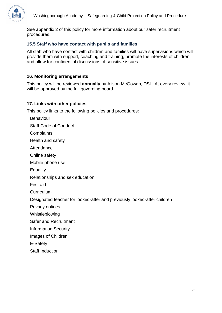

See appendix 2 of this policy for more information about our safer recruitment procedures.

# **15.5 Staff who have contact with pupils and families**

All staff who have contact with children and families will have supervisions which will provide them with support, coaching and training, promote the interests of children and allow for confidential discussions of sensitive issues.

# <span id="page-22-0"></span>**16. Monitoring arrangements**

This policy will be reviewed **annually** by Alison McGowan, DSL. At every review, it will be approved by the full governing board.

# <span id="page-22-1"></span>**17. Links with other policies**

This policy links to the following policies and procedures:

- Behaviour
- Staff Code of Conduct
- **Complaints**
- Health and safety
- Attendance
- Online safety
- Mobile phone use
- **Equality**
- Relationships and sex education
- First aid
- **Curriculum**
- Designated teacher for looked-after and previously looked-after children
- Privacy notices
- Whistleblowing
- Safer and Recruitment
- Information Security
- Images of Children
- E-Safety
- Staff Induction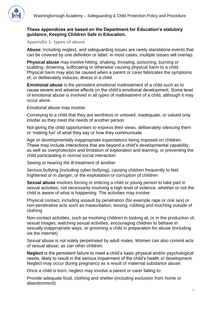

# **These appendices are based on the Department for Education's statutory guidance, Keeping Children Safe in Education.**

<span id="page-23-0"></span>**Appendix 1: types of abuse**

**Abuse**, including neglect, and safeguarding issues are rarely standalone events that can be covered by one definition or label. In most cases, multiple issues will overlap.

**Physical abuse** may involve hitting, shaking, throwing, poisoning, burning or scalding, drowning, suffocating or otherwise causing physical harm to a child. Physical harm may also be caused when a parent or carer fabricates the symptoms of, or deliberately induces, illness in a child.

**Emotional abuse** is the persistent emotional maltreatment of a child such as to cause severe and adverse effects on the child's emotional development. Some level of emotional abuse is involved in all types of maltreatment of a child, although it may occur alone.

Emotional abuse may involve:

Conveying to a child that they are worthless or unloved, inadequate, or valued only insofar as they meet the needs of another person

Not giving the child opportunities to express their views, deliberately silencing them or 'making fun' of what they say or how they communicate

Age or developmentally inappropriate expectations being imposed on children. These may include interactions that are beyond a child's developmental capability, as well as overprotection and limitation of exploration and learning, or preventing the child participating in normal social interaction

Seeing or hearing the ill-treatment of another

Serious bullying (including cyber-bullying), causing children frequently to feel frightened or in danger, or the exploitation or corruption of children

**Sexual abuse** involves forcing or enticing a child or young person to take part in sexual activities, not necessarily involving a high level of violence, whether or not the child is aware of what is happening. The activities may involve:

Physical contact, including assault by penetration (for example rape or oral sex) or non-penetrative acts such as masturbation, kissing, rubbing and touching outside of clothing

Non-contact activities, such as involving children in looking at, or in the production of, sexual images, watching sexual activities, encouraging children to behave in sexually inappropriate ways, or grooming a child in preparation for abuse (including via the internet)

Sexual abuse is not solely perpetrated by adult males. Women can also commit acts of sexual abuse, as can other children.

**Neglect** is the persistent failure to meet a child's basic physical and/or psychological needs, likely to result in the serious impairment of the child's health or development. Neglect may occur during pregnancy as a result of maternal substance abuse.

Once a child is born, neglect may involve a parent or carer failing to:

Provide adequate food, clothing and shelter (including exclusion from home or abandonment)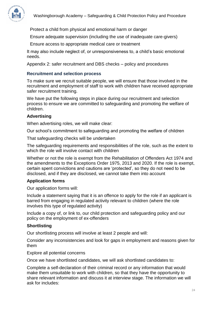

Protect a child from physical and emotional harm or danger

Ensure adequate supervision (including the use of inadequate care-givers)

Ensure access to appropriate medical care or treatment

<span id="page-24-0"></span>It may also include neglect of, or unresponsiveness to, a child's basic emotional needs.

Appendix 2: safer recruitment and DBS checks – policy and procedures

## **Recruitment and selection process**

To make sure we recruit suitable people, we will ensure that those involved in the recruitment and employment of staff to work with children have received appropriate safer recruitment training.

We have put the following steps in place during our recruitment and selection process to ensure we are committed to safeguarding and promoting the welfare of children.

#### **Advertising**

When advertising roles, we will make clear:

Our school's commitment to safeguarding and promoting the welfare of children

That safeguarding checks will be undertaken

The safeguarding requirements and responsibilities of the role, such as the extent to which the role will involve contact with children

Whether or not the role is exempt from the Rehabilitation of Offenders Act 1974 and the amendments to the Exceptions Order 1975, 2013 and 2020. If the role is exempt, certain spent convictions and cautions are 'protected', so they do not need to be disclosed, and if they are disclosed, we cannot take them into account

#### **Application forms**

Our application forms will:

Include a statement saying that it is an offence to apply for the role if an applicant is barred from engaging in regulated activity relevant to children (where the role involves this type of regulated activity)

Include a copy of, or link to, our child protection and safeguarding policy and our policy on the employment of ex-offenders

## **Shortlisting**

Our shortlisting process will involve at least 2 people and will:

Consider any inconsistencies and look for gaps in employment and reasons given for them

Explore all potential concerns

Once we have shortlisted candidates, we will ask shortlisted candidates to:

Complete a self-declaration of their criminal record or any information that would make them unsuitable to work with children, so that they have the opportunity to share relevant information and discuss it at interview stage. The information we will ask for includes: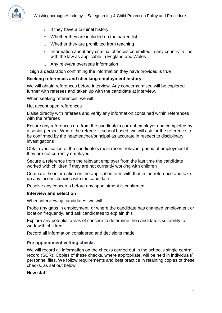

- $\circ$  If they have a criminal history
- o Whether they are included on the barred list
- o Whether they are prohibited from teaching
- o Information about any criminal offences committed in any country in line with the law as applicable in England and Wales
- o Any relevant overseas information

Sign a declaration confirming the information they have provided is true

#### **Seeking references and checking employment history**

We will obtain references before interview. Any concerns raised will be explored further with referees and taken up with the candidate at interview.

When seeking references, we will:

Not accept open references

Liaise directly with referees and verify any information contained within references with the referees

Ensure any references are from the candidate's current employer and completed by a senior person. Where the referee is school based, we will ask for the reference to be confirmed by the headteacher/principal as accurate in respect to disciplinary investigations

Obtain verification of the candidate's most recent relevant period of employment if they are not currently employed

Secure a reference from the relevant employer from the last time the candidate worked with children if they are not currently working with children

Compare the information on the application form with that in the reference and take up any inconsistencies with the candidate

Resolve any concerns before any appointment is confirmed

#### **Interview and selection**

When interviewing candidates, we will:

Probe any gaps in employment, or where the candidate has changed employment or location frequently, and ask candidates to explain this

Explore any potential areas of concern to determine the candidate's suitability to work with children

Record all information considered and decisions made

#### **Pre-appointment vetting checks**

We will record all information on the checks carried out in the school's single central record (SCR). Copies of these checks, where appropriate, will be held in individuals' personnel files. We follow requirements and best practice in retaining copies of these checks, as set out below.

#### **New staff**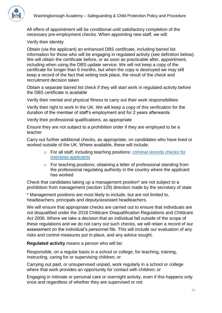

All offers of appointment will be conditional until satisfactory completion of the necessary pre-employment checks. When appointing new staff, we will:

# Verify their identity

Obtain (via the applicant) an enhanced DBS certificate, including barred list information for those who will be engaging in regulated activity (see definition below). We will obtain the certificate before, or as soon as practicable after, appointment, including when using the DBS update service. We will not keep a copy of the certificate for longer than 6 months, but when the copy is destroyed we may still keep a record of the fact that vetting took place, the result of the check and recruitment decision taken

Obtain a separate barred list check if they will start work in regulated activity before the DBS certificate is available

Verify their mental and physical fitness to carry out their work responsibilities

Verify their right to work in the UK. We will keep a copy of this verification for the duration of the member of staff's employment and for 2 years afterwards

Verify their professional qualifications, as appropriate

Ensure they are not subject to a prohibition order if they are employed to be a teacher

Carry out further additional checks, as appropriate, on candidates who have lived or worked outside of the UK. Where available, these will include:

- o For all staff, including teaching positions: [criminal records checks for](https://www.gov.uk/government/publications/criminal-records-checks-for-overseas-applicants)  [overseas applicants](https://www.gov.uk/government/publications/criminal-records-checks-for-overseas-applicants)
- o For teaching positions: obtaining a letter of professional standing from the professional regulating authority in the country where the applicant has worked

Check that candidates taking up a management position\* are not subject to a prohibition from management (section 128) direction made by the secretary of state

\* Management positions are most likely to include, but are not limited to, headteachers, principals and deputy/assistant headteachers.

We will ensure that appropriate checks are carried out to ensure that individuals are not disqualified under the 2018 Childcare Disqualification Regulations and Childcare Act 2006. Where we take a decision that an individual fall outside of the scope of these regulations and we do not carry out such checks, we will retain a record of our assessment on the individual's personnel file. This will include our evaluation of any risks and control measures put in place, and any advice sought.

**Regulated activity** means a person who will be:

Responsible, on a regular basis in a school or college, for teaching, training, instructing, caring for or supervising children; or

Carrying out paid, or unsupervised unpaid, work regularly in a school or college where that work provides an opportunity for contact with children; or

Engaging in intimate or personal care or overnight activity, even if this happens only once and regardless of whether they are supervised or not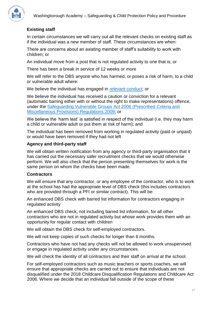

# **Existing staff**

In certain circumstances we will carry out all the relevant checks on existing staff as if the individual was a new member of staff. These circumstances are when:

There are concerns about an existing member of staff's suitability to work with children; or

An individual move from a post that is not regulated activity to one that is; or

There has been a break in service of 12 weeks or more

We will refer to the DBS anyone who has harmed, or poses a risk of harm, to a child or vulnerable adult where:

We believe the individual has engaged in [relevant conduct;](https://www.gov.uk/guidance/making-barring-referrals-to-the-dbs#relevant-conduct-in-relation-to-children) or

We believe the individual has received a caution or conviction for a relevant (automatic barring either with or without the right to make representations) offence, under the [Safeguarding Vulnerable Groups Act 2006 \(Prescribed Criteria and](http://www.legislation.gov.uk/uksi/2009/37/contents/made)  [Miscellaneous Provisions\) Regulations 2009;](http://www.legislation.gov.uk/uksi/2009/37/contents/made) or

We believe the 'harm test' is satisfied in respect of the individual (i.e. they may harm a child or vulnerable adult or put them at risk of harm); and

The individual has been removed from working in regulated activity (paid or unpaid) or would have been removed if they had not left

## **Agency and third-party staff**

We will obtain written notification from any agency or third-party organisation that it has carried out the necessary safer recruitment checks that we would otherwise perform. We will also check that the person presenting themselves for work is the same person on whom the checks have been made.

## **Contractors**

We will ensure that any contractor, or any employee of the contractor, who is to work at the school has had the appropriate level of DBS check (this includes contractors who are provided through a PFI or similar contract). This will be:

An enhanced DBS check with barred list information for contractors engaging in regulated activity

An enhanced DBS check, not including barred list information, for all other contractors who are not in regulated activity but whose work provides them with an opportunity for regular contact with children

We will obtain the DBS check for self-employed contractors.

We will not keep copies of such checks for longer than 6 months.

Contractors who have not had any checks will not be allowed to work unsupervised or engage in regulated activity under any circumstances.

We will check the identity of all contractors and their staff on arrival at the school.

For self-employed contractors such as music teachers or sports coaches, we will ensure that appropriate checks are carried out to ensure that individuals are not disqualified under the 2018 Childcare Disqualification Regulations and Childcare Act 2006. Where we decide that an individual fall outside of the scope of these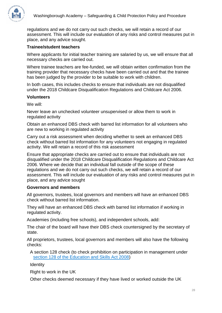

regulations and we do not carry out such checks, we will retain a record of our assessment. This will include our evaluation of any risks and control measures put in place, and any advice sought.

# **Trainee/student teachers**

Where applicants for initial teacher training are salaried by us, we will ensure that all necessary checks are carried out.

Where trainee teachers are fee-funded, we will obtain written confirmation from the training provider that necessary checks have been carried out and that the trainee has been judged by the provider to be suitable to work with children.

In both cases, this includes checks to ensure that individuals are not disqualified under the 2018 Childcare Disqualification Regulations and Childcare Act 2006.

# **Volunteers**

We will:

Never leave an unchecked volunteer unsupervised or allow them to work in regulated activity

Obtain an enhanced DBS check with barred list information for all volunteers who are new to working in regulated activity

Carry out a risk assessment when deciding whether to seek an enhanced DBS check without barred list information for any volunteers not engaging in regulated activity. We will retain a record of this risk assessment

Ensure that appropriate checks are carried out to ensure that individuals are not disqualified under the 2018 Childcare Disqualification Regulations and Childcare Act 2006. Where we decide that an individual fall outside of the scope of these regulations and we do not carry out such checks, we will retain a record of our assessment. This will include our evaluation of any risks and control measures put in place, and any advice sought

# **Governors and members**

All governors, trustees, local governors and members will have an enhanced DBS check without barred list information.

They will have an enhanced DBS check with barred list information if working in regulated activity.

Academies (including free schools), and independent schools, add:

The chair of the board will have their DBS check countersigned by the secretary of state.

All proprietors, trustees, local governors and members will also have the following checks:

A section 128 check (to check prohibition on participation in management under [section 128 of the Education and Skills Act 2008\)](https://www.legislation.gov.uk/ukpga/2008/25/section/128)

**Identity** 

Right to work in the UK

Other checks deemed necessary if they have lived or worked outside the UK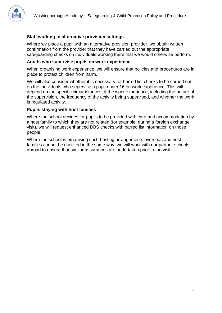# **Staff working in alternative provision settings**

Where we place a pupil with an alternative provision provider, we obtain written confirmation from the provider that they have carried out the appropriate safeguarding checks on individuals working there that we would otherwise perform.

## **Adults who supervise pupils on work experience**

When organising work experience, we will ensure that policies and procedures are in place to protect children from harm.

We will also consider whether it is necessary for barred list checks to be carried out on the individuals who supervise a pupil under 16 on work experience. This will depend on the specific circumstances of the work experience, including the nature of the supervision, the frequency of the activity being supervised, and whether the work is regulated activity.

## **Pupils staying with host families**

Where the school decides for pupils to be provided with care and accommodation by a host family to which they are not related (for example, during a foreign exchange visit), we will request enhanced DBS checks with barred list information on those people.

Where the school is organising such hosting arrangements overseas and host families cannot be checked in the same way, we will work with our partner schools abroad to ensure that similar assurances are undertaken prior to the visit.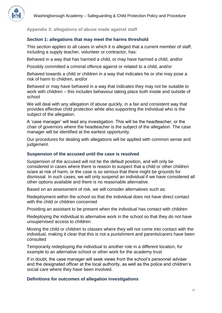

<span id="page-30-0"></span>**Appendix 3: allegations of abuse made against staff**

# **Section 1: allegations that may meet the harms threshold**

This section applies to all cases in which it is alleged that a current member of staff, including a supply teacher, volunteer or contractor, has:

Behaved in a way that has harmed a child, or may have harmed a child, and/or

Possibly committed a criminal offence against or related to a child, and/or

Behaved towards a child or children in a way that indicates he or she may pose a risk of harm to children, and/or

Behaved or may have behaved in a way that indicates they may not be suitable to work with children – this includes behaviour taking place both inside and outside of school

We will deal with any allegation of abuse quickly, in a fair and consistent way that provides effective child protection while also supporting the individual who is the subject of the allegation.

A 'case manager' will lead any investigation. This will be the headteacher, or the chair of governors where the headteacher is the subject of the allegation. The case manager will be identified at the earliest opportunity.

Our procedures for dealing with allegations will be applied with common sense and judgement.

## **Suspension of the accused until the case is resolved**

Suspension of the accused will not be the default position, and will only be considered in cases where there is reason to suspect that a child or other children is/are at risk of harm, or the case is so serious that there might be grounds for dismissal. In such cases, we will only suspend an individual if we have considered all other options available and there is no reasonable alternative.

Based on an assessment of risk, we will consider alternatives such as:

Redeployment within the school so that the individual does not have direct contact with the child or children concerned

Providing an assistant to be present when the individual has contact with children

Redeploying the individual to alternative work in the school so that they do not have unsupervised access to children

Moving the child or children to classes where they will not come into contact with the individual, making it clear that this is not a punishment and parents/carers have been consulted

Temporarily redeploying the individual to another role in a different location, for example to an alternative school or other work for the academy trust

If in doubt, the case manager will seek views from the school's personnel adviser and the designated officer at the local authority, as well as the police and children's social care where they have been involved.

## **Definitions for outcomes of allegation investigations**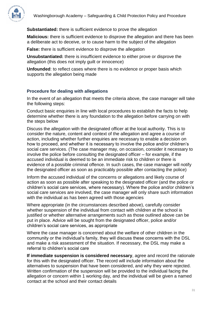

## **Substantiated:** there is sufficient evidence to prove the allegation

**Malicious:** there is sufficient evidence to disprove the allegation and there has been a deliberate act to deceive, or to cause harm to the subject of the allegation

**False:** there is sufficient evidence to disprove the allegation

**Unsubstantiated:** there is insufficient evidence to either prove or disprove the allegation (this does not imply guilt or innocence)

**Unfounded**: to reflect cases where there is no evidence or proper basis which supports the allegation being made

## **Procedure for dealing with allegations**

In the event of an allegation that meets the criteria above, the case manager will take the following steps:

Conduct basic enquiries in line with local procedures to establish the facts to help determine whether there is any foundation to the allegation before carrying on with the steps below

Discuss the allegation with the designated officer at the local authority. This is to consider the nature, content and context of the allegation and agree a course of action, including whether further enquiries are necessary to enable a decision on how to proceed, and whether it is necessary to involve the police and/or children's social care services. (The case manager may, on occasion, consider it necessary to involve the police before consulting the designated officer – for example, if the accused individual is deemed to be an immediate risk to children or there is evidence of a possible criminal offence. In such cases, the case manager will notify the designated officer as soon as practicably possible after contacting the police)

Inform the accused individual of the concerns or allegations and likely course of action as soon as possible after speaking to the designated officer (and the police or children's social care services, where necessary). Where the police and/or children's social care services are involved, the case manager will only share such information with the individual as has been agreed with those agencies

Where appropriate (in the circumstances described above), carefully consider whether suspension of the individual from contact with children at the school is justified or whether alternative arrangements such as those outlined above can be put in place. Advice will be sought from the designated officer, police and/or children's social care services, as appropriate

Where the case manager is concerned about the welfare of other children in the community or the individual's family, they will discuss these concerns with the DSL and make a risk assessment of the situation. If necessary, the DSL may make a referral to children's social care

**If immediate suspension is considered necessary**, agree and record the rationale for this with the designated officer. The record will include information about the alternatives to suspension that have been considered, and why they were rejected. Written confirmation of the suspension will be provided to the individual facing the allegation or concern within 1 working day, and the individual will be given a named contact at the school and their contact details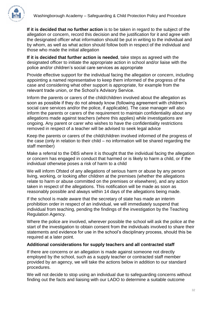

**If it is decided that no further action** is to be taken in regard to the subject of the allegation or concern, record this decision and the justification for it and agree with the designated officer what information should be put in writing to the individual and by whom, as well as what action should follow both in respect of the individual and those who made the initial allegation

**If it is decided that further action is needed**, take steps as agreed with the designated officer to initiate the appropriate action in school and/or liaise with the police and/or children's social care services as appropriate

Provide effective support for the individual facing the allegation or concern, including appointing a named representative to keep them informed of the progress of the case and considering what other support is appropriate, for example from the relevant trade union, or the School's Advisory Service.

Inform the parents or carers of the child/children involved about the allegation as soon as possible if they do not already know (following agreement with children's social care services and/or the police, if applicable). The case manager will also inform the parents or carers of the requirement to maintain confidentiality about any allegations made against teachers (where this applies) while investigations are ongoing. Any parent or carer who wishes to have the confidentiality restrictions removed in respect of a teacher will be advised to seek legal advice

Keep the parents or carers of the child/children involved informed of the progress of the case (only in relation to their child – no information will be shared regarding the staff member)

Make a referral to the DBS where it is thought that the individual facing the allegation or concern has engaged in conduct that harmed or is likely to harm a child, or if the individual otherwise poses a risk of harm to a child

We will inform Ofsted of any allegations of serious harm or abuse by any person living, working, or looking after children at the premises (whether the allegations relate to harm or abuse committed on the premises or elsewhere), and any action taken in respect of the allegations. This notification will be made as soon as reasonably possible and always within 14 days of the allegations being made.

If the school is made aware that the secretary of state has made an interim prohibition order in respect of an individual, we will immediately suspend that individual from teaching, pending the findings of the investigation by the Teaching Regulation Agency.

Where the police are involved, wherever possible the school will ask the police at the start of the investigation to obtain consent from the individuals involved to share their statements and evidence for use in the school's disciplinary process, should this be required at a later point.

# **Additional considerations for supply teachers and all contracted staff**

If there are concerns or an allegation is made against someone not directly employed by the school, such as a supply teacher or contracted staff member provided by an agency, we will take the actions below in addition to our standard procedures.

We will not decide to stop using an individual due to safeguarding concerns without finding out the facts and liaising with our LADO to determine a suitable outcome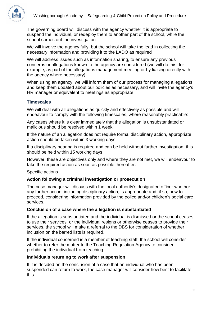

The governing board will discuss with the agency whether it is appropriate to suspend the individual, or redeploy them to another part of the school, while the school carries out the investigation

We will involve the agency fully, but the school will take the lead in collecting the necessary information and providing it to the LADO as required

We will address issues such as information sharing, to ensure any previous concerns or allegations known to the agency are considered (we will do this, for example, as part of the allegations management meeting or by liaising directly with the agency where necessary)

When using an agency, we will inform them of our process for managing allegations, and keep them updated about our policies as necessary, and will invite the agency's HR manager or equivalent to meetings as appropriate.

# **Timescales**

We will deal with all allegations as quickly and effectively as possible and will endeavour to comply with the following timescales, where reasonably practicable:

Any cases where it is clear immediately that the allegation is unsubstantiated or malicious should be resolved within 1 week

If the nature of an allegation does not require formal disciplinary action, appropriate action should be taken within 3 working days

If a disciplinary hearing is required and can be held without further investigation, this should be held within 15 working days

However, these are objectives only and where they are not met, we will endeavour to take the required action as soon as possible thereafter.

Specific actions

# **Action following a criminal investigation or prosecution**

The case manager will discuss with the local authority's designated officer whether any further action, including disciplinary action, is appropriate and, if so, how to proceed, considering information provided by the police and/or children's social care services.

# **Conclusion of a case where the allegation is substantiated**

If the allegation is substantiated and the individual is dismissed or the school ceases to use their services, or the individual resigns or otherwise ceases to provide their services, the school will make a referral to the DBS for consideration of whether inclusion on the barred lists is required.

If the individual concerned is a member of teaching staff, the school will consider whether to refer the matter to the Teaching Regulation Agency to consider prohibiting the individual from teaching.

# **Individuals returning to work after suspension**

If it is decided on the conclusion of a case that an individual who has been suspended can return to work, the case manager will consider how best to facilitate this.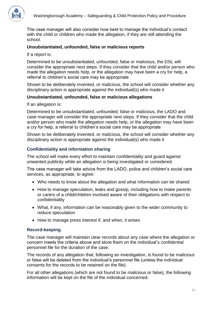The case manager will also consider how best to manage the individual's contact with the child or children who made the allegation, if they are still attending the school.

## **Unsubstantiated, unfounded, false or malicious reports**

#### If a report is:

Determined to be unsubstantiated, unfounded, false or malicious, the DSL will consider the appropriate next steps. If they consider that the child and/or person who made the allegation needs help, or the allegation may have been a cry for help, a referral to children's social care may be appropriate

Shown to be deliberately invented, or malicious, the school will consider whether any disciplinary action is appropriate against the individual(s) who made it

#### **Unsubstantiated, unfounded, false or malicious allegations**

If an allegation is:

Determined to be unsubstantiated, unfounded, false or malicious, the LADO and case manager will consider the appropriate next steps. If they consider that the child and/or person who made the allegation needs help, or the allegation may have been a cry for help, a referral to children's social care may be appropriate

Shown to be deliberately invented, or malicious, the school will consider whether any disciplinary action is appropriate against the individual(s) who made it

## **Confidentiality and information sharing**

The school will make every effort to maintain confidentiality and guard against unwanted publicity while an allegation is being investigated or considered.

The case manager will take advice from the LADO, police and children's social care services, as appropriate, to agree:

- Who needs to know about the allegation and what information can be shared
- How to manage speculation, leaks and gossip, including how to make parents or carers of a child/children involved aware of their obligations with respect to confidentiality
- What, if any, information can be reasonably given to the wider community to reduce speculation
- How to manage press interest if, and when, it arises

## **Record-keeping**

The case manager will maintain clear records about any case where the allegation or concern meets the criteria above and store them on the individual's confidential personnel file for the duration of the case.

The records of any allegation that, following an investigation, is found to be malicious or false will be deleted from the individual's personnel file (unless the individual consents for the records to be retained on the file).

For all other allegations (which are not found to be malicious or false), the following information will be kept on the file of the individual concerned: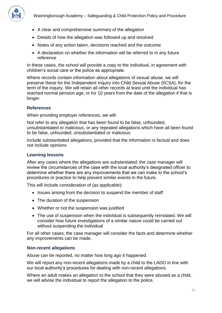

- A clear and comprehensive summary of the allegation
- Details of how the allegation was followed up and resolved
- Notes of any action taken, decisions reached and the outcome
- A declaration on whether the information will be referred to in any future reference

In these cases, the school will provide a copy to the individual, in agreement with children's social care or the police as appropriate.

Where records contain information about allegations of sexual abuse, we will preserve these for the Independent Inquiry into Child Sexual Abuse (IICSA), for the term of the inquiry. We will retain all other records at least until the individual has reached normal pension age, or for 10 years from the date of the allegation if that is longer.

## **References**

When providing employer references, we will:

Not refer to any allegation that has been found to be false, unfounded, unsubstantiated or malicious, or any repeated allegations which have all been found to be false, unfounded, unsubstantiated or malicious

Include substantiated allegations, provided that the information is factual and does not include opinions

#### **Learning lessons**

After any cases where the allegations are *substantiated*, the case manager will review the circumstances of the case with the local authority's designated officer to determine whether there are any improvements that we can make to the school's procedures or practice to help prevent similar events in the future.

This will include consideration of (as applicable):

- Issues arising from the decision to suspend the member of staff
- The duration of the suspension
- Whether or not the suspension was justified
- The use of suspension when the individual is subsequently reinstated. We will consider how future investigations of a similar nature could be carried out without suspending the individual

For all other cases, the case manager will consider the facts and determine whether any improvements can be made.

#### **Non-recent allegations**

Abuse can be reported, no matter how long ago it happened.

We will report any non-recent allegations made by a child to the LADO in line with our local authority's procedures for dealing with non-recent allegations.

Where an adult makes an allegation to the school that they were abused as a child, we will advise the individual to report the allegation to the police.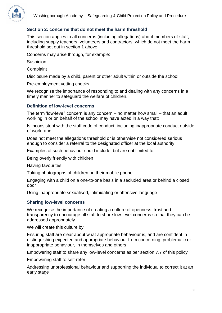

# **Section 2: concerns that do not meet the harm threshold**

This section applies to all concerns (including allegations) about members of staff, including supply teachers, volunteers and contractors, which do not meet the harm threshold set out in section 1 above.

Concerns may arise through, for example:

Suspicion

**Complaint** 

Disclosure made by a child, parent or other adult within or outside the school

Pre-employment vetting checks

We recognise the importance of responding to and dealing with any concerns in a timely manner to safeguard the welfare of children.

#### **Definition of low-level concerns**

The term 'low-level' concern is any concern – no matter how small – that an adult working in or on behalf of the school may have acted in a way that:

Is inconsistent with the staff code of conduct, including inappropriate conduct outside of work, and

Does not meet the allegations threshold or is otherwise not considered serious enough to consider a referral to the designated officer at the local authority

Examples of such behaviour could include, but are not limited to:

Being overly friendly with children

Having favourites

Taking photographs of children on their mobile phone

Engaging with a child on a one-to-one basis in a secluded area or behind a closed door

Using inappropriate sexualised, intimidating or offensive language

#### **Sharing low-level concerns**

We recognise the importance of creating a culture of openness, trust and transparency to encourage all staff to share low-level concerns so that they can be addressed appropriately.

We will create this culture by:

Ensuring staff are clear about what appropriate behaviour is, and are confident in distinguishing expected and appropriate behaviour from concerning, problematic or inappropriate behaviour, in themselves and others

Empowering staff to share any low-level concerns as per section 7.7 of this policy

Empowering staff to self-refer

Addressing unprofessional behaviour and supporting the individual to correct it at an early stage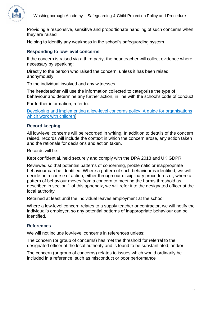

Providing a responsive, sensitive and proportionate handling of such concerns when they are raised

Helping to identify any weakness in the school's safeguarding system

## **Responding to low-level concerns**

If the concern is raised via a third party, the headteacher will collect evidence where necessary by speaking:

Directly to the person who raised the concern, unless it has been raised anonymously

To the individual involved and any witnesses

The headteacher will use the information collected to categorise the type of behaviour and determine any further action, in line with the school's code of conduct

For further information, refer to:

[Developing and implementing a low-level concerns policy: A guide for organisations](https://www.farrer.co.uk/news-and-insights/developing-and-implementing-a-low-level-concerns-policy-a-guide-for-organisations-which-work-with-children/)  [which work with children\]](https://www.farrer.co.uk/news-and-insights/developing-and-implementing-a-low-level-concerns-policy-a-guide-for-organisations-which-work-with-children/)

#### **Record keeping**

All low-level concerns will be recorded in writing. In addition to details of the concern raised, records will include the context in which the concern arose, any action taken and the rationale for decisions and action taken.

Records will be:

Kept confidential, held securely and comply with the DPA 2018 and UK GDPR

Reviewed so that potential patterns of concerning, problematic or inappropriate behaviour can be identified. Where a pattern of such behaviour is identified, we will decide on a course of action, either through our disciplinary procedures or, where a pattern of behaviour moves from a concern to meeting the harms threshold as described in section 1 of this appendix, we will refer it to the designated officer at the local authority

Retained at least until the individual leaves employment at the school

Where a low-level concern relates to a supply teacher or contractor, we will notify the individual's employer, so any potential patterns of inappropriate behaviour can be identified.

#### **References**

We will not include low-level concerns in references unless:

The concern (or group of concerns) has met the threshold for referral to the designated officer at the local authority and is found to be substantiated; and/or

The concern (or group of concerns) relates to issues which would ordinarily be included in a reference, such as misconduct or poor performance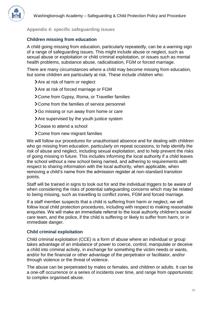# <span id="page-38-0"></span>**Appendix 4: specific safeguarding issues**

# **Children missing from education**

A child going missing from education, particularly repeatedly, can be a warning sign of a range of safeguarding issues. This might include abuse or neglect, such as sexual abuse or exploitation or child criminal exploitation, or issues such as mental health problems, substance abuse, radicalisation, FGM or forced marriage.

There are many circumstances where a child may become missing from education, but some children are particularly at risk. These include children who:

- > Are at risk of harm or neglect
- > Are at risk of forced marriage or FGM
- Come from Gypsy, Roma, or Traveller families
- > Come from the families of service personnel
- **>** Go missing or run away from home or care
- Are supervised by the youth justice system
- > Cease to attend a school
- Come from new migrant families

We will follow our procedures for unauthorised absence and for dealing with children who go missing from education, particularly on repeat occasions, to help identify the risk of abuse and neglect, including sexual exploitation, and to help prevent the risks of going missing in future. This includes informing the local authority if a child leaves the school without a new school being named, and adhering to requirements with respect to sharing information with the local authority, when applicable, when removing a child's name from the admission register at non-standard transition points.

Staff will be trained in signs to look out for and the individual triggers to be aware of when considering the risks of potential safeguarding concerns which may be related to being missing, such as travelling to conflict zones, FGM and forced marriage.

If a staff member suspects that a child is suffering from harm or neglect, we will follow local child protection procedures, including with respect to making reasonable enquiries. We will make an immediate referral to the local authority children's social care team, and the police, if the child is suffering or likely to suffer from harm, or in immediate danger.

## **Child criminal exploitation**

Child criminal exploitation (CCE) is a form of abuse where an individual or group takes advantage of an imbalance of power to coerce, control, manipulate or deceive a child into criminal activity, in exchange for something the victim needs or wants, and/or for the financial or other advantage of the perpetrator or facilitator, and/or through violence or the threat of violence.

The abuse can be perpetrated by males or females, and children or adults. It can be a one-off occurrence or a series of incidents over time, and range from opportunistic to complex organised abuse.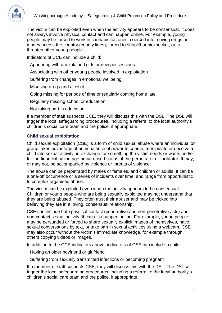

The victim can be exploited even when the activity appears to be consensual. It does not always involve physical contact and can happen online. For example, young people may be forced to work in cannabis factories, coerced into moving drugs or money across the country (county lines), forced to shoplift or pickpocket, or to threaten other young people.

Indicators of CCE can include a child:

- Appearing with unexplained gifts or new possessions
- Associating with other young people involved in exploitation
- Suffering from changes in emotional wellbeing
- Misusing drugs and alcohol
- Going missing for periods of time or regularly coming home late
- Regularly missing school or education
- Not taking part in education

If a member of staff suspects CCE, they will discuss this with the DSL. The DSL will trigger the local safeguarding procedures, including a referral to the local authority's children's social care team and the police, if appropriate.

# **Child sexual exploitation**

Child sexual exploitation (CSE) is a form of child sexual abuse where an individual or group takes advantage of an imbalance of power to coerce, manipulate or deceive a child into sexual activity, in exchange for something the victim needs or wants and/or for the financial advantage or increased status of the perpetrator or facilitator. It may, or may not, be accompanied by violence or threats of violence.

The abuse can be perpetrated by males or females, and children or adults. It can be a one-off occurrence or a series of incidents over time, and range from opportunistic to complex organised abuse.

The victim can be exploited even when the activity appears to be consensual. Children or young people who are being sexually exploited may not understand that they are being abused. They often trust their abuser and may be tricked into believing they are in a loving, consensual relationship.

CSE can include both physical contact (penetrative and non-penetrative acts) and non-contact sexual activity. It can also happen online. For example, young people may be persuaded or forced to share sexually explicit images of themselves, have sexual conversations by text, or take part in sexual activities using a webcam. CSE may also occur without the victim's immediate knowledge, for example through others copying videos or images.

In addition to the CCE indicators above, indicators of CSE can include a child:

Having an older boyfriend or girlfriend

Suffering from sexually transmitted infections or becoming pregnant

If a member of staff suspects CSE, they will discuss this with the DSL. The DSL will trigger the local safeguarding procedures, including a referral to the local authority's children's social care team and the police, if appropriate.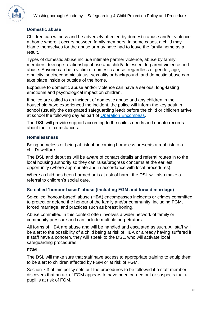

# **Domestic abuse**

Children can witness and be adversely affected by domestic abuse and/or violence at home where it occurs between family members. In some cases, a child may blame themselves for the abuse or may have had to leave the family home as a result.

Types of domestic abuse include intimate partner violence, abuse by family members, teenage relationship abuse and child/adolescent to parent violence and abuse. Anyone can be a victim of domestic abuse, regardless of gender, age, ethnicity, socioeconomic status, sexuality or background, and domestic abuse can take place inside or outside of the home.

Exposure to domestic abuse and/or violence can have a serious, long-lasting emotional and psychological impact on children.

If police are called to an incident of domestic abuse and any children in the household have experienced the incident, the police will inform the key adult in school (usually the designated safeguarding lead) before the child or children arrive at school the following day as part of [Operation Encompass.](https://www.operationencompass.org/)

The DSL will provide support according to the child's needs and update records about their circumstances.

#### **Homelessness**

Being homeless or being at risk of becoming homeless presents a real risk to a child's welfare.

The DSL and deputies will be aware of contact details and referral routes in to the local housing authority so they can raise/progress concerns at the earliest opportunity (where appropriate and in accordance with local procedures).

Where a child has been harmed or is at risk of harm, the DSL will also make a referral to children's social care.

## **So-called 'honour-based' abuse (including FGM and forced marriage)**

So-called 'honour-based' abuse (HBA) encompasses incidents or crimes committed to protect or defend the honour of the family and/or community, including FGM, forced marriage, and practices such as breast ironing.

Abuse committed in this context often involves a wider network of family or community pressure and can include multiple perpetrators.

All forms of HBA are abuse and will be handled and escalated as such. All staff will be alert to the possibility of a child being at risk of HBA or already having suffered it. If staff have a concern, they will speak to the DSL, who will activate local safeguarding procedures.

## **FGM**

The DSL will make sure that staff have access to appropriate training to equip them to be alert to children affected by FGM or at risk of FGM.

Section 7.3 of this policy sets out the procedures to be followed if a staff member discovers that an act of FGM appears to have been carried out or suspects that a pupil is at risk of FGM.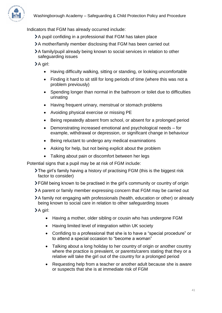

Indicators that FGM has already occurred include:

- A pupil confiding in a professional that FGM has taken place
- A mother/family member disclosing that FGM has been carried out
- A family/pupil already being known to social services in relation to other safeguarding issues

>A girl:

- Having difficulty walking, sitting or standing, or looking uncomfortable
- Finding it hard to sit still for long periods of time (where this was not a problem previously)
- Spending longer than normal in the bathroom or toilet due to difficulties urinating
- Having frequent urinary, menstrual or stomach problems
- Avoiding physical exercise or missing PE
- Being repeatedly absent from school, or absent for a prolonged period
- Demonstrating increased emotional and psychological needs for example, withdrawal or depression, or significant change in behaviour
- Being reluctant to undergo any medical examinations
- Asking for help, but not being explicit about the problem
- Talking about pain or discomfort between her legs

Potential signs that a pupil may be at risk of FGM include:

- The girl's family having a history of practising FGM (this is the biggest risk factor to consider)
- **>FGM** being known to be practised in the girl's community or country of origin
- A parent or family member expressing concern that FGM may be carried out
- A family not engaging with professionals (health, education or other) or already being known to social care in relation to other safeguarding issues

A girl:

- Having a mother, older sibling or cousin who has undergone FGM
- Having limited level of integration within UK society
- Confiding to a professional that she is to have a "special procedure" or to attend a special occasion to "become a woman"
- Talking about a long holiday to her country of origin or another country where the practice is prevalent, or parents/carers stating that they or a relative will take the girl out of the country for a prolonged period
- Requesting help from a teacher or another adult because she is aware or suspects that she is at immediate risk of FGM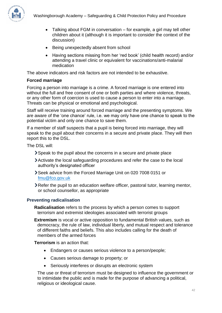

- Talking about FGM in conversation for example, a girl may tell other children about it (although it is important to consider the context of the discussion)
- Being unexpectedly absent from school
- Having sections missing from her 'red book' (child health record) and/or attending a travel clinic or equivalent for vaccinations/anti-malarial medication

The above indicators and risk factors are not intended to be exhaustive.

# **Forced marriage**

Forcing a person into marriage is a crime. A forced marriage is one entered into without the full and free consent of one or both parties and where violence, threats, or any other form of coercion is used to cause a person to enter into a marriage. Threats can be physical or emotional and psychological.

Staff will receive training around forced marriage and the presenting symptoms. We are aware of the 'one chance' rule, i.e. we may only have one chance to speak to the potential victim and only one chance to save them.

If a member of staff suspects that a pupil is being forced into marriage, they will speak to the pupil about their concerns in a secure and private place. They will then report this to the DSL.

The DSL will:

- Speak to the pupil about the concerns in a secure and private place
- Activate the local safeguarding procedures and refer the case to the local authority's designated officer
- Seek advice from the Forced Marriage Unit on 020 7008 0151 or [fmu@fco.gov.uk](mailto:fmu@fco.gov.uk)
- Refer the pupil to an education welfare officer, pastoral tutor, learning mentor, or school counsellor, as appropriate

# **Preventing radicalisation**

**Radicalisation** refers to the process by which a person comes to support terrorism and extremist ideologies associated with terrorist groups

**Extremism** is vocal or active opposition to fundamental British values, such as democracy, the rule of law, individual liberty, and mutual respect and tolerance of different faiths and beliefs. This also includes calling for the death of members of the armed forces

**Terrorism** is an action that:

- Endangers or causes serious violence to a person/people;
- Causes serious damage to property; or
- Seriously interferes or disrupts an electronic system

The use or threat of terrorism must be designed to influence the government or to intimidate the public and is made for the purpose of advancing a political, religious or ideological cause.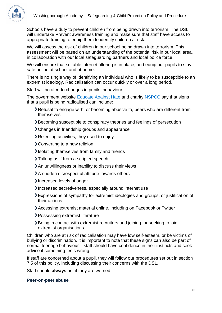

Schools have a duty to prevent children from being drawn into terrorism. The DSL will undertake Prevent awareness training and make sure that staff have access to appropriate training to equip them to identify children at risk.

We will assess the risk of children in our school being drawn into terrorism. This assessment will be based on an understanding of the potential risk in our local area, in collaboration with our local safeguarding partners and local police force.

We will ensure that suitable internet filtering is in place, and equip our pupils to stay safe online at school and at home.

There is no single way of identifying an individual who is likely to be susceptible to an extremist ideology. Radicalisation can occur quickly or over a long period.

Staff will be alert to changes in pupils' behaviour.

The government website [Educate Against Hate](http://educateagainsthate.com/parents/what-are-the-warning-signs/) and charity [NSPCC](https://www.nspcc.org.uk/what-you-can-do/report-abuse/dedicated-helplines/protecting-children-from-radicalisation/) say that signs that a pupil is being radicalised can include:

- Refusal to engage with, or becoming abusive to, peers who are different from themselves
- Becoming susceptible to conspiracy theories and feelings of persecution
- > Changes in friendship groups and appearance
- **>** Rejecting activities, they used to enjoy
- Converting to a new religion
- Isolating themselves from family and friends
- >Talking as if from a scripted speech
- An unwillingness or inability to discuss their views
- A sudden disrespectful attitude towards others
- Increased levels of anger
- Increased secretiveness, especially around internet use
- Expressions of sympathy for extremist ideologies and groups, or justification of their actions
- Accessing extremist material online, including on Facebook or Twitter
- > Possessing extremist literature
- Being in contact with extremist recruiters and joining, or seeking to join, extremist organisations

Children who are at risk of radicalisation may have low self-esteem, or be victims of bullying or discrimination. It is important to note that these signs can also be part of normal teenage behaviour – staff should have confidence in their instincts and seek advice if something feels wrong.

If staff are concerned about a pupil, they will follow our procedures set out in section 7.5 of this policy, including discussing their concerns with the DSL.

Staff should **always** act if they are worried.

#### **Peer-on-peer abuse**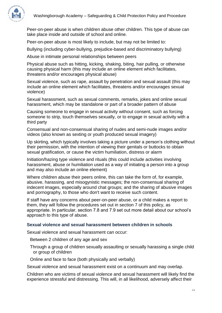

Peer-on-peer abuse is when children abuse other children. This type of abuse can take place inside and outside of school and online.

Peer-on-peer abuse is most likely to include, but may not be limited to:

Bullying (including cyber-bullying, prejudice-based and discriminatory bullying)

Abuse in intimate personal relationships between peers

Physical abuse such as hitting, kicking, shaking, biting, hair pulling, or otherwise causing physical harm (this may include an online element which facilitates, threatens and/or encourages physical abuse)

Sexual violence, such as rape, assault by penetration and sexual assault (this may include an online element which facilitates, threatens and/or encourages sexual violence)

Sexual harassment, such as sexual comments, remarks, jokes and online sexual harassment, which may be standalone or part of a broader pattern of abuse

Causing someone to engage in sexual activity without consent, such as forcing someone to strip, touch themselves sexually, or to engage in sexual activity with a third party

Consensual and non-consensual sharing of nudes and semi-nude images and/or videos (also known as sexting or youth produced sexual imagery)

Up skirting, which typically involves taking a picture under a person's clothing without their permission, with the intention of viewing their genitals or buttocks to obtain sexual gratification, or cause the victim humiliation, distress or alarm

Initiation/hazing type violence and rituals (this could include activities involving harassment, abuse or humiliation used as a way of initiating a person into a group and may also include an online element)

Where children abuse their peers online, this can take the form of, for example, abusive, harassing, and misogynistic messages; the non-consensual sharing of indecent images, especially around chat groups; and the sharing of abusive images and pornography, to those who don't want to receive such content.

If staff have any concerns about peer-on-peer abuse, or a child makes a report to them, they will follow the procedures set out in section 7 of this policy, as appropriate. In particular, section 7.8 and 7.9 set out more detail about our school's approach to this type of abuse.

## **Sexual violence and sexual harassment between children in schools**

Sexual violence and sexual harassment can occur:

Between 2 children of any age and sex

- Through a group of children sexually assaulting or sexually harassing a single child or group of children
- Online and face to face (both physically and verbally)

Sexual violence and sexual harassment exist on a continuum and may overlap.

Children who are victims of sexual violence and sexual harassment will likely find the experience stressful and distressing. This will, in all likelihood, adversely affect their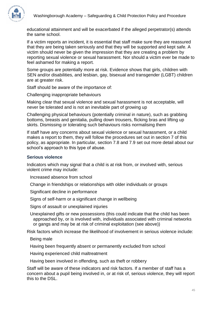

educational attainment and will be exacerbated if the alleged perpetrator(s) attends the same school.

If a victim reports an incident, it is essential that staff make sure they are reassured that they are being taken seriously and that they will be supported and kept safe. A victim should never be given the impression that they are creating a problem by reporting sexual violence or sexual harassment. Nor should a victim ever be made to feel ashamed for making a report.

Some groups are potentially more at risk. Evidence shows that girls, children with SEN and/or disabilities, and lesbian, gay, bisexual and transgender (LGBT) children are at greater risk.

Staff should be aware of the importance of:

Challenging inappropriate behaviours

Making clear that sexual violence and sexual harassment is not acceptable, will never be tolerated and is not an inevitable part of growing up

Challenging physical behaviours (potentially criminal in nature), such as grabbing bottoms, breasts and genitalia, pulling down trousers, flicking bras and lifting up skirts. Dismissing or tolerating such behaviours risks normalising them

If staff have any concerns about sexual violence or sexual harassment, or a child makes a report to them, they will follow the procedures set out in section 7 of this policy, as appropriate. In particular, section 7.8 and 7.9 set out more detail about our school's approach to this type of abuse.

## **Serious violence**

Indicators which may signal that a child is at risk from, or involved with, serious violent crime may include:

Increased absence from school

Change in friendships or relationships with older individuals or groups

Significant decline in performance

Signs of self-harm or a significant change in wellbeing

Signs of assault or unexplained injuries

Unexplained gifts or new possessions (this could indicate that the child has been approached by, or is involved with, individuals associated with criminal networks or gangs and may be at risk of criminal exploitation (see above))

Risk factors which increase the likelihood of involvement in serious violence include:

Being male

Having been frequently absent or permanently excluded from school

Having experienced child maltreatment

Having been involved in offending, such as theft or robbery

Staff will be aware of these indicators and risk factors. If a member of staff has a concern about a pupil being involved in, or at risk of, serious violence, they will report this to the DSL.